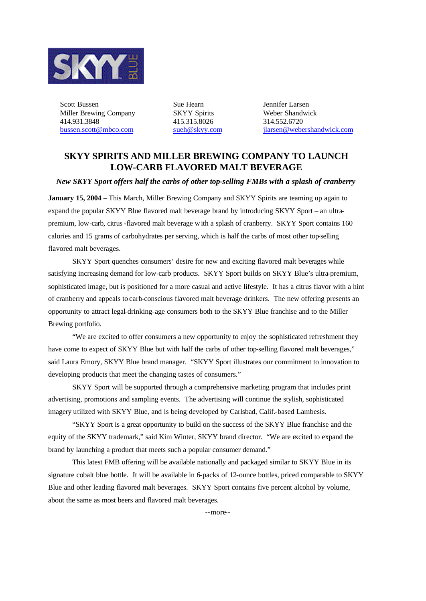

Scott Bussen Sue Hearn Sue Hearn Jennifer Larsen Miller Brewing Company SKYY Spirits Weber Shandwick 414.931.3848 415.315.8026 314.552.6720

bussen.scott@mbco.com sueh@skyy.com jlarsen@webershandwick.com

## **SKYY SPIRITS AND MILLER BREWING COMPANY TO LAUNCH LOW-CARB FLAVORED MALT BEVERAGE**

*New SKYY Sport offers half the carbs of other top-selling FMBs with a splash of cranberry*

**January 15, 2004** – This March, Miller Brewing Company and SKYY Spirits are teaming up again to expand the popular SKYY Blue flavored malt beverage brand by introducing SKYY Sport – an ultrapremium, low-carb, citrus-flavored malt beverage with a splash of cranberry. SKYY Sport contains 160 calories and 15 grams of carbohydrates per serving, which is half the carbs of most other top-selling flavored malt beverages.

SKYY Sport quenches consumers' desire for new and exciting flavored malt beverages while satisfying increasing demand for low-carb products. SKYY Sport builds on SKYY Blue's ultra-premium, sophisticated image, but is positioned for a more casual and active lifestyle. It has a citrus flavor with a hint of cranberry and appeals to carb-conscious flavored malt beverage drinkers. The new offering presents an opportunity to attract legal-drinking-age consumers both to the SKYY Blue franchise and to the Miller Brewing portfolio.

"We are excited to offer consumers a new opportunity to enjoy the sophisticated refreshment they have come to expect of SKYY Blue but with half the carbs of other top-selling flavored malt beverages," said Laura Emory, SKYY Blue brand manager. "SKYY Sport illustrates our commitment to innovation to developing products that meet the changing tastes of consumers."

SKYY Sport will be supported through a comprehensive marketing program that includes print advertising, promotions and sampling events. The advertising will continue the stylish, sophisticated imagery utilized with SKYY Blue, and is being developed by Carlsbad, Calif.-based Lambesis.

"SKYY Sport is a great opportunity to build on the success of the SKYY Blue franchise and the equity of the SKYY trademark," said Kim Winter, SKYY brand director. "We are excited to expand the brand by launching a product that meets such a popular consumer demand."

This latest FMB offering will be available nationally and packaged similar to SKYY Blue in its signature cobalt blue bottle. It will be available in 6-packs of 12-ounce bottles, priced comparable to SKYY Blue and other leading flavored malt beverages. SKYY Sport contains five percent alcohol by volume, about the same as most beers and flavored malt beverages.

--more--